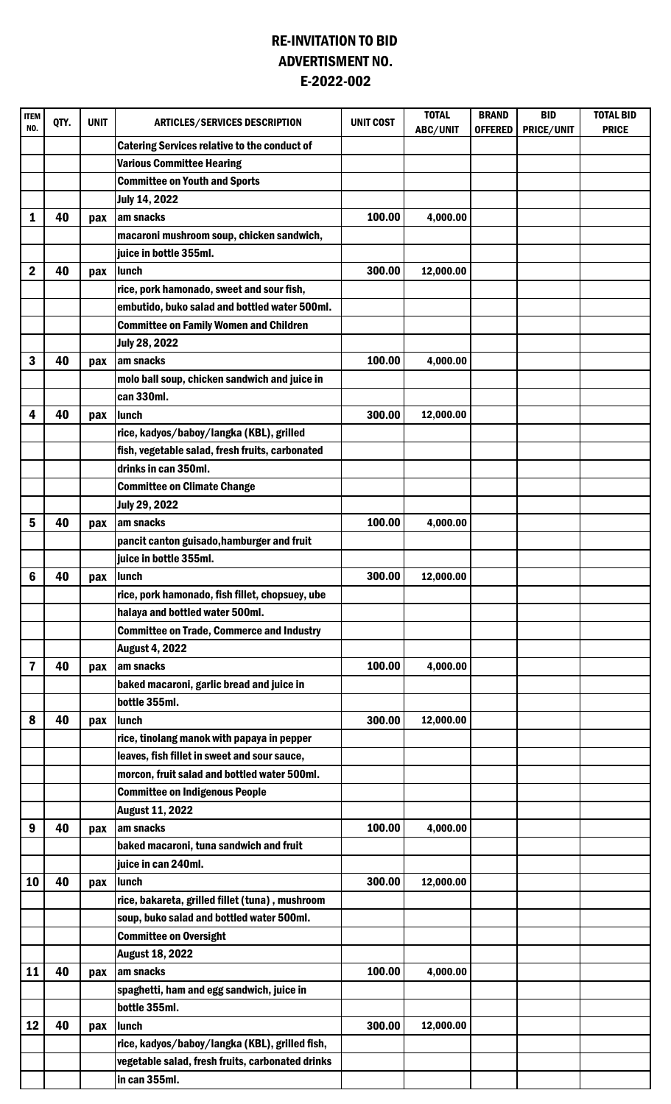## RE-INVITATION TO BID E-2022-002 ADVERTISMENT NO.

| <b>ITEM</b><br>NO. | QTY. | <b>UNIT</b> | <b>ARTICLES/SERVICES DESCRIPTION</b>                | <b>UNIT COST</b> | <b>TOTAL</b><br>ABC/UNIT | <b>BRAND</b><br><b>OFFERED</b> | <b>BID</b><br><b>PRICE/UNIT</b> | <b>TOTAL BID</b><br><b>PRICE</b> |
|--------------------|------|-------------|-----------------------------------------------------|------------------|--------------------------|--------------------------------|---------------------------------|----------------------------------|
|                    |      |             | <b>Catering Services relative to the conduct of</b> |                  |                          |                                |                                 |                                  |
|                    |      |             | <b>Various Committee Hearing</b>                    |                  |                          |                                |                                 |                                  |
|                    |      |             | <b>Committee on Youth and Sports</b>                |                  |                          |                                |                                 |                                  |
|                    |      |             | July 14, 2022                                       |                  |                          |                                |                                 |                                  |
| 1                  | 40   | pax         | am snacks                                           | 100.00           | 4,000.00                 |                                |                                 |                                  |
|                    |      |             | macaroni mushroom soup, chicken sandwich,           |                  |                          |                                |                                 |                                  |
|                    |      |             | juice in bottle 355ml.                              |                  |                          |                                |                                 |                                  |
| $\mathbf 2$        | 40   | pax         | lunch                                               | 300.00           | 12,000.00                |                                |                                 |                                  |
|                    |      |             | rice, pork hamonado, sweet and sour fish,           |                  |                          |                                |                                 |                                  |
|                    |      |             | embutido, buko salad and bottled water 500ml.       |                  |                          |                                |                                 |                                  |
|                    |      |             | <b>Committee on Family Women and Children</b>       |                  |                          |                                |                                 |                                  |
|                    |      |             | July 28, 2022                                       |                  |                          |                                |                                 |                                  |
| 3                  | 40   | pax         | am snacks                                           | 100.00           | 4,000.00                 |                                |                                 |                                  |
|                    |      |             | molo ball soup, chicken sandwich and juice in       |                  |                          |                                |                                 |                                  |
|                    |      |             | can 330ml.                                          |                  |                          |                                |                                 |                                  |
| 4                  | 40   | pax         | lunch                                               | 300.00           | 12,000.00                |                                |                                 |                                  |
|                    |      |             | rice, kadyos/baboy/langka (KBL), grilled            |                  |                          |                                |                                 |                                  |
|                    |      |             | fish, vegetable salad, fresh fruits, carbonated     |                  |                          |                                |                                 |                                  |
|                    |      |             | drinks in can 350ml.                                |                  |                          |                                |                                 |                                  |
|                    |      |             | <b>Committee on Climate Change</b>                  |                  |                          |                                |                                 |                                  |
|                    |      |             | <b>July 29, 2022</b>                                |                  |                          |                                |                                 |                                  |
| 5                  | 40   | pax         | am snacks                                           | 100.00           | 4,000.00                 |                                |                                 |                                  |
|                    |      |             | pancit canton guisado, hamburger and fruit          |                  |                          |                                |                                 |                                  |
|                    |      |             | juice in bottle 355ml.                              |                  |                          |                                |                                 |                                  |
| 6                  | 40   | pax         | lunch                                               | 300.00           | 12,000.00                |                                |                                 |                                  |
|                    |      |             | rice, pork hamonado, fish fillet, chopsuey, ube     |                  |                          |                                |                                 |                                  |
|                    |      |             | halaya and bottled water 500ml.                     |                  |                          |                                |                                 |                                  |
|                    |      |             | <b>Committee on Trade, Commerce and Industry</b>    |                  |                          |                                |                                 |                                  |
|                    |      |             | <b>August 4, 2022</b>                               |                  |                          |                                |                                 |                                  |
| 7                  | 40   | pax         | am snacks                                           | 100.00           | 4,000.00                 |                                |                                 |                                  |
|                    |      |             | baked macaroni, garlic bread and juice in           |                  |                          |                                |                                 |                                  |
|                    |      |             | bottle 355ml.                                       |                  |                          |                                |                                 |                                  |
| 8                  | 40   | pax         | <b>Ilunch</b>                                       | 300.00           | 12,000.00                |                                |                                 |                                  |
|                    |      |             | rice, tinolang manok with papaya in pepper          |                  |                          |                                |                                 |                                  |
|                    |      |             | leaves, fish fillet in sweet and sour sauce,        |                  |                          |                                |                                 |                                  |
|                    |      |             | morcon, fruit salad and bottled water 500ml.        |                  |                          |                                |                                 |                                  |
|                    |      |             | <b>Committee on Indigenous People</b>               |                  |                          |                                |                                 |                                  |
| 9                  | 40   |             | <b>August 11, 2022</b><br>am snacks                 | 100.00           | 4,000.00                 |                                |                                 |                                  |
|                    |      | pax         | baked macaroni, tuna sandwich and fruit             |                  |                          |                                |                                 |                                  |
|                    |      |             | juice in can 240ml.                                 |                  |                          |                                |                                 |                                  |
| 10                 | 40   | pax         | lunch                                               | 300.00           | 12,000.00                |                                |                                 |                                  |
|                    |      |             | rice, bakareta, grilled fillet (tuna), mushroom     |                  |                          |                                |                                 |                                  |
|                    |      |             | soup, buko salad and bottled water 500ml.           |                  |                          |                                |                                 |                                  |
|                    |      |             | <b>Committee on Oversight</b>                       |                  |                          |                                |                                 |                                  |
|                    |      |             | <b>August 18, 2022</b>                              |                  |                          |                                |                                 |                                  |
| 11                 | 40   | pax         | am snacks                                           | 100.00           | 4,000.00                 |                                |                                 |                                  |
|                    |      |             | spaghetti, ham and egg sandwich, juice in           |                  |                          |                                |                                 |                                  |
|                    |      |             | bottle 355ml.                                       |                  |                          |                                |                                 |                                  |
| 12                 | 40   | pax         | lunch                                               | 300.00           | 12,000.00                |                                |                                 |                                  |
|                    |      |             | rice, kadyos/baboy/langka (KBL), grilled fish,      |                  |                          |                                |                                 |                                  |
|                    |      |             | vegetable salad, fresh fruits, carbonated drinks    |                  |                          |                                |                                 |                                  |
|                    |      |             | in can 355ml.                                       |                  |                          |                                |                                 |                                  |
|                    |      |             |                                                     |                  |                          |                                |                                 |                                  |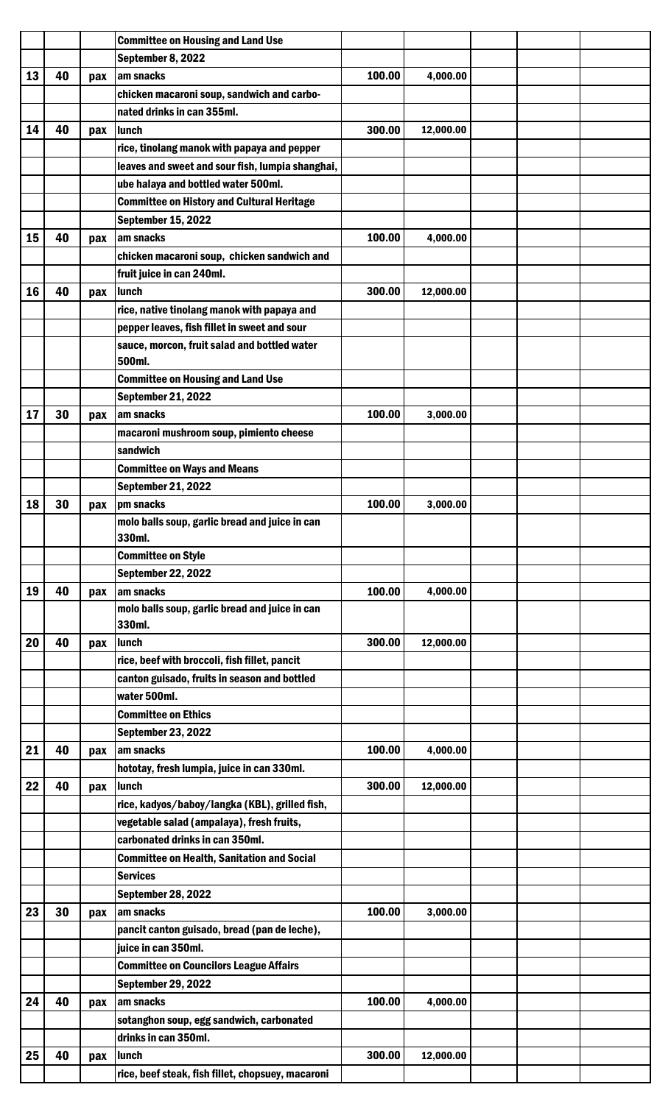|    |    |     | <b>Committee on Housing and Land Use</b>                 |        |           |  |  |
|----|----|-----|----------------------------------------------------------|--------|-----------|--|--|
|    |    |     | September 8, 2022                                        |        |           |  |  |
| 13 | 40 | pax | am snacks                                                | 100.00 | 4,000.00  |  |  |
|    |    |     | chicken macaroni soup, sandwich and carbo-               |        |           |  |  |
|    |    |     | nated drinks in can 355ml.                               |        |           |  |  |
| 14 | 40 | pax | lunch                                                    | 300.00 | 12,000.00 |  |  |
|    |    |     | rice, tinolang manok with papaya and pepper              |        |           |  |  |
|    |    |     | leaves and sweet and sour fish, lumpia shanghai,         |        |           |  |  |
|    |    |     | ube halaya and bottled water 500ml.                      |        |           |  |  |
|    |    |     | <b>Committee on History and Cultural Heritage</b>        |        |           |  |  |
|    |    |     |                                                          |        |           |  |  |
|    |    |     | <b>September 15, 2022</b>                                | 100.00 |           |  |  |
| 15 | 40 | pax | am snacks                                                |        | 4,000.00  |  |  |
|    |    |     | chicken macaroni soup, chicken sandwich and              |        |           |  |  |
|    |    |     | fruit juice in can 240ml.                                |        |           |  |  |
| 16 | 40 | pax | lunch                                                    | 300.00 | 12,000.00 |  |  |
|    |    |     | rice, native tinolang manok with papaya and              |        |           |  |  |
|    |    |     | pepper leaves, fish fillet in sweet and sour             |        |           |  |  |
|    |    |     | sauce, morcon, fruit salad and bottled water             |        |           |  |  |
|    |    |     | 500ml.                                                   |        |           |  |  |
|    |    |     | <b>Committee on Housing and Land Use</b>                 |        |           |  |  |
|    |    |     | <b>September 21, 2022</b>                                |        |           |  |  |
| 17 | 30 | pax | am snacks                                                | 100.00 | 3,000.00  |  |  |
|    |    |     | macaroni mushroom soup, pimiento cheese                  |        |           |  |  |
|    |    |     | sandwich                                                 |        |           |  |  |
|    |    |     | <b>Committee on Ways and Means</b>                       |        |           |  |  |
|    |    |     | <b>September 21, 2022</b>                                |        |           |  |  |
| 18 | 30 | pax | pm snacks                                                | 100.00 | 3,000.00  |  |  |
|    |    |     | molo balls soup, garlic bread and juice in can           |        |           |  |  |
|    |    |     | 330ml.                                                   |        |           |  |  |
|    |    |     | <b>Committee on Style</b>                                |        |           |  |  |
|    |    |     | September 22, 2022                                       |        |           |  |  |
| 19 | 40 | pax | am snacks                                                | 100.00 | 4,000.00  |  |  |
|    |    |     | molo balls soup, garlic bread and juice in can<br>330ml. |        |           |  |  |
|    | 40 |     |                                                          | 300.00 |           |  |  |
| 20 |    | pax | <b>Ilunch</b>                                            |        | 12,000.00 |  |  |
|    |    |     | rice, beef with broccoli, fish fillet, pancit            |        |           |  |  |
|    |    |     | canton guisado, fruits in season and bottled             |        |           |  |  |
|    |    |     | water 500ml.                                             |        |           |  |  |
|    |    |     | <b>Committee on Ethics</b>                               |        |           |  |  |
|    |    |     | <b>September 23, 2022</b>                                |        |           |  |  |
| 21 | 40 | pax | am snacks                                                | 100.00 | 4,000.00  |  |  |
|    |    |     | hototay, fresh lumpia, juice in can 330ml.               |        |           |  |  |
| 22 | 40 | pax | <b>Ilunch</b>                                            | 300.00 | 12,000.00 |  |  |
|    |    |     | rice, kadyos/baboy/langka (KBL), grilled fish,           |        |           |  |  |
|    |    |     | vegetable salad (ampalaya), fresh fruits,                |        |           |  |  |
|    |    |     | carbonated drinks in can 350ml.                          |        |           |  |  |
|    |    |     | <b>Committee on Health, Sanitation and Social</b>        |        |           |  |  |
|    |    |     | <b>Services</b>                                          |        |           |  |  |
|    |    |     | <b>September 28, 2022</b>                                |        |           |  |  |
| 23 | 30 | pax | am snacks                                                | 100.00 | 3,000.00  |  |  |
|    |    |     | pancit canton guisado, bread (pan de leche),             |        |           |  |  |
|    |    |     | juice in can 350ml.                                      |        |           |  |  |
|    |    |     | <b>Committee on Councilors League Affairs</b>            |        |           |  |  |
|    |    |     | <b>September 29, 2022</b>                                |        |           |  |  |
| 24 | 40 | pax | am snacks                                                | 100.00 | 4,000.00  |  |  |
|    |    |     | sotanghon soup, egg sandwich, carbonated                 |        |           |  |  |
|    |    |     | drinks in can 350ml.                                     |        |           |  |  |
| 25 | 40 | pax | lunch                                                    | 300.00 | 12,000.00 |  |  |
|    |    |     | rice, beef steak, fish fillet, chopsuey, macaroni        |        |           |  |  |